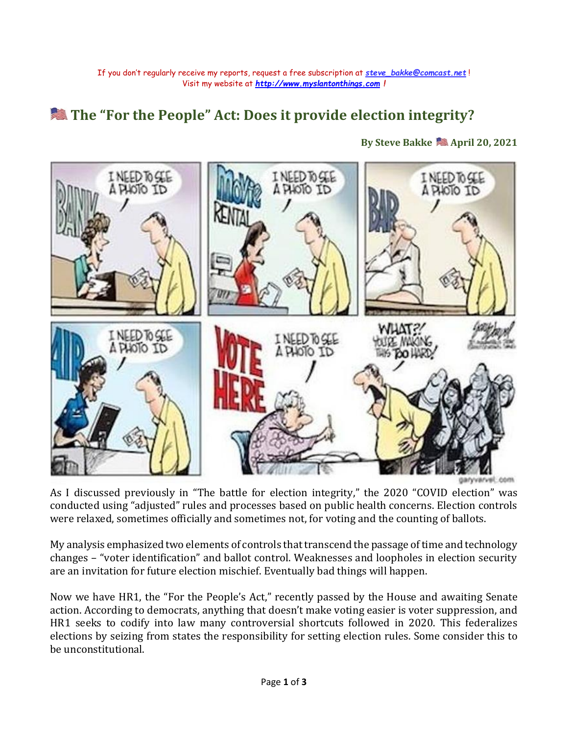## **The "For the People" Act: Does it provide election integrity?**

**By Steve Bakke April 20, 2021**



As I discussed previously in "The battle for election integrity," the 2020 "COVID election" was conducted using "adjusted" rules and processes based on public health concerns. Election controls were relaxed, sometimes officially and sometimes not, for voting and the counting of ballots.

My analysis emphasized two elements of controls that transcend the passage of time and technology changes – "voter identification" and ballot control. Weaknesses and loopholes in election security are an invitation for future election mischief. Eventually bad things will happen.

Now we have HR1, the "For the People's Act," recently passed by the House and awaiting Senate action. According to democrats, anything that doesn't make voting easier is voter suppression, and HR1 seeks to codify into law many controversial shortcuts followed in 2020. This federalizes elections by seizing from states the responsibility for setting election rules. Some consider this to be unconstitutional.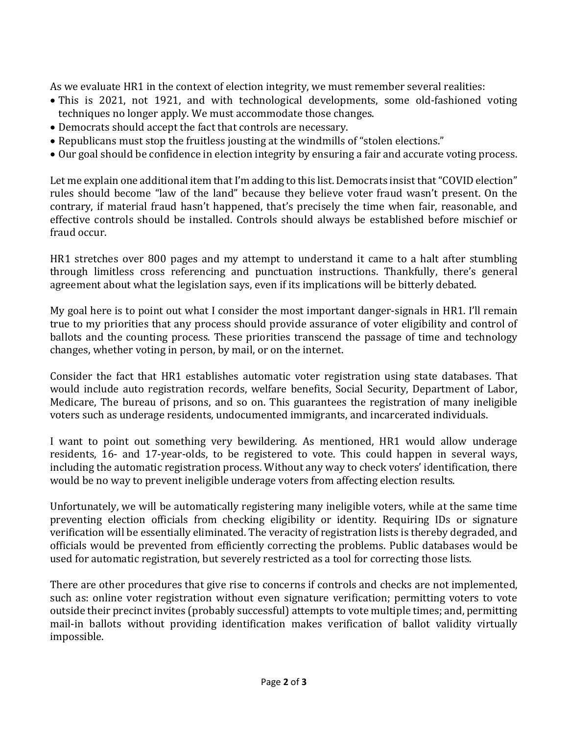As we evaluate HR1 in the context of election integrity, we must remember several realities:

- This is 2021, not 1921, and with technological developments, some old-fashioned voting techniques no longer apply. We must accommodate those changes.
- Democrats should accept the fact that controls are necessary.
- Republicans must stop the fruitless jousting at the windmills of "stolen elections."
- Our goal should be confidence in election integrity by ensuring a fair and accurate voting process.

Let me explain one additional item that I'm adding to this list. Democrats insist that "COVID election" rules should become "law of the land" because they believe voter fraud wasn't present. On the contrary, if material fraud hasn't happened, that's precisely the time when fair, reasonable, and effective controls should be installed. Controls should always be established before mischief or fraud occur.

HR1 stretches over 800 pages and my attempt to understand it came to a halt after stumbling through limitless cross referencing and punctuation instructions. Thankfully, there's general agreement about what the legislation says, even if its implications will be bitterly debated.

My goal here is to point out what I consider the most important danger-signals in HR1. I'll remain true to my priorities that any process should provide assurance of voter eligibility and control of ballots and the counting process. These priorities transcend the passage of time and technology changes, whether voting in person, by mail, or on the internet.

Consider the fact that HR1 establishes automatic voter registration using state databases. That would include auto registration records, welfare benefits, Social Security, Department of Labor, Medicare, The bureau of prisons, and so on. This guarantees the registration of many ineligible voters such as underage residents, undocumented immigrants, and incarcerated individuals.

I want to point out something very bewildering. As mentioned, HR1 would allow underage residents, 16- and 17-year-olds, to be registered to vote. This could happen in several ways, including the automatic registration process. Without any way to check voters' identification, there would be no way to prevent ineligible underage voters from affecting election results.

Unfortunately, we will be automatically registering many ineligible voters, while at the same time preventing election officials from checking eligibility or identity. Requiring IDs or signature verification will be essentially eliminated. The veracity of registration lists is thereby degraded, and officials would be prevented from efficiently correcting the problems. Public databases would be used for automatic registration, but severely restricted as a tool for correcting those lists.

There are other procedures that give rise to concerns if controls and checks are not implemented, such as: online voter registration without even signature verification; permitting voters to vote outside their precinct invites (probably successful) attempts to vote multiple times; and, permitting mail-in ballots without providing identification makes verification of ballot validity virtually impossible.